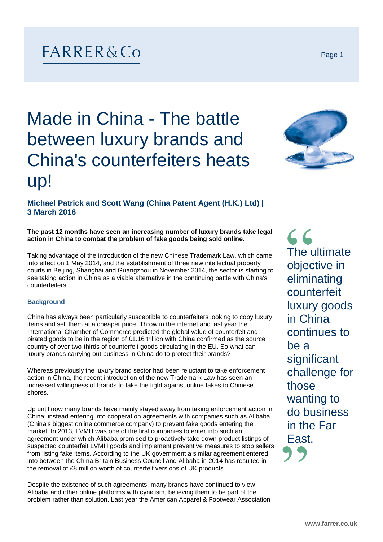## FARRER&Co

# Made in China - The battle between luxury brands and China's counterfeiters heats up!



### **Michael Patrick and Scott Wang (China Patent Agent (H.K.) Ltd) | 3 March 2016**

**The past 12 months have seen an increasing number of luxury brands take legal action in China to combat the problem of fake goods being sold online.**

Taking advantage of the introduction of the new Chinese Trademark Law, which came into effect on 1 May 2014, and the establishment of three new intellectual property courts in Beijing, Shanghai and Guangzhou in November 2014, the sector is starting to see taking action in China as a viable alternative in the continuing battle with China's counterfeiters.

#### **Background**

China has always been particularly susceptible to counterfeiters looking to copy luxury items and sell them at a cheaper price. Throw in the internet and last year the International Chamber of Commerce predicted the global value of counterfeit and pirated goods to be in the region of £1.16 trillion with China confirmed as the source country of over two-thirds of counterfeit goods circulating in the EU. So what can luxury brands carrying out business in China do to protect their brands?

Whereas previously the luxury brand sector had been reluctant to take enforcement action in China, the recent introduction of the new Trademark Law has seen an increased willingness of brands to take the fight against online fakes to Chinese shores.

Up until now many brands have mainly stayed away from taking enforcement action in China; instead entering into cooperation agreements with companies such as Alibaba (China's biggest online commerce company) to prevent fake goods entering the market. In 2013, LVMH was one of the first companies to enter into such an agreement under which Alibaba promised to proactively take down product listings of suspected counterfeit LVMH goods and implement preventive measures to stop sellers from listing fake items. According to the UK government a similar agreement entered into between the China Britain Business Council and Alibaba in 2014 has resulted in the removal of £8 million worth of counterfeit versions of UK products.

Despite the existence of such agreements, many brands have continued to view Alibaba and other online platforms with cynicism, believing them to be part of the problem rather than solution. Last year the American Apparel & Footwear Association  $66$ The ultimate objective in eliminating counterfeit luxury goods in China continues to be a **significant** challenge for those wanting to do business in the Far East.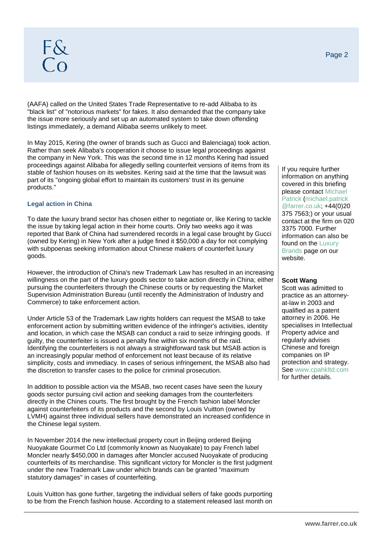(AAFA) called on the United States Trade Representative to re-add Alibaba to its "black list" of "notorious markets" for fakes. It also demanded that the company take the issue more seriously and set up an automated system to take down offending listings immediately, a demand Alibaba seems unlikely to meet.

In May 2015, Kering (the owner of brands such as Gucci and Balenciaga) took action. Rather than seek Alibaba's cooperation it choose to issue legal proceedings against the company in New York. This was the second time in 12 months Kering had issued proceedings against Alibaba for allegedly selling counterfeit versions of items from its stable of fashion houses on its websites. Kering said at the time that the lawsuit was part of its "ongoing global effort to maintain its customers' trust in its genuine products."

#### **Legal action in China**

To date the luxury brand sector has chosen either to negotiate or, like Kering to tackle the issue by taking legal action in their home courts. Only two weeks ago it was reported that Bank of China had surrendered records in a legal case brought by Gucci (owned by Kering) in New York after a judge fined it \$50,000 a day for not complying with subpoenas seeking information about Chinese makers of counterfeit luxury goods.

However, the introduction of China's new Trademark Law has resulted in an increasing willingness on the part of the luxury goods sector to take action directly in China; either pursuing the counterfeiters through the Chinese courts or by requesting the Market Supervision Administration Bureau (until recently the Administration of Industry and Commerce) to take enforcement action.

Under Article 53 of the Trademark Law rights holders can request the MSAB to take enforcement action by submitting written evidence of the infringer's activities, identity and location, in which case the MSAB can conduct a raid to seize infringing goods. If guilty, the counterfeiter is issued a penalty fine within six months of the raid. Identifying the counterfeiters is not always a straightforward task but MSAB action is an increasingly popular method of enforcement not least because of its relative simplicity, costs and immediacy. In cases of serious infringement, the MSAB also had the discretion to transfer cases to the police for criminal prosecution.

In addition to possible action via the MSAB, two recent cases have seen the luxury goods sector pursuing civil action and seeking damages from the counterfeiters directly in the Chines courts. The first brought by the French fashion label Moncler against counterfeiters of its products and the second by Louis Vuitton (owned by LVMH) against three individual sellers have demonstrated an increased confidence in the Chinese legal system.

In November 2014 the new intellectual property court in Beijing ordered Beijing Nuoyakate Gourmet Co Ltd (commonly known as Nuoyakate) to pay French label Moncler nearly \$450,000 in damages after Moncler accused Nuoyakate of producing counterfeits of its merchandise. This significant victory for Moncler is the first judgment under the new Trademark Law under which brands can be granted "maximum statutory damages" in cases of counterfeiting.

Louis Vuitton has gone further, targeting the individual sellers of fake goods purporting to be from the French fashion house. According to a statement released last month on

If you require further information on anything covered in this briefing please contact Michael Patrick (michael.patrick @farrer.co.uk; +44(0)20 375 7563;) or your usual contact at the firm on 020 3375 7000. Further information can also be found on the [Luxury](http://www.farrer.co.uk/Who-we-help/businesses/Fashion--Luxury/) [Brands](http://www.farrer.co.uk/Who-we-help/businesses/Fashion--Luxury/) page on our website.

#### **Scott Wang**

Scott was admitted to practice as an attorneyat-law in 2003 and qualified as a patent attorney in 2006. He specialises in Intellectual Property advice and regularly advises Chinese and foreign companies on IP protection and strategy. See [www.cpahkltd.com](http://www.cpahkltd.com/) for further details.